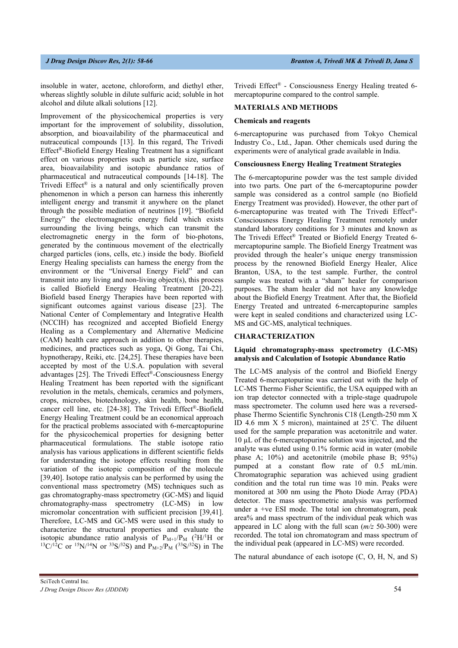insoluble in water, acetone, chloroform, and diethyl ether, whereas slightly soluble in dilute sulfuric acid; soluble in hot alcohol and dilute alkali solutions [12].

Improvement of the physicochemical properties is very important for the improvement of solubility, dissolution, absorption, and bioavailability of the pharmaceutical and nutraceutical compounds [13]. In this regard, The Trivedi Effect®-Biofield Energy Healing Treatment has a significant effect on various properties such as particle size, surface area, bioavailability and isotopic abundance ratios of pharmaceutical and nutraceutical compounds [14-18]. The Trivedi Effect<sup>®</sup> is a natural and only scientifically proven phenomenon in which a person can harness this inherently intelligent energy and transmit it anywhere on the planet through the possible mediation of neutrinos [19]. "Biofield Energy" the electromagnetic energy field which exists surrounding the living beings, which can transmit the electromagnetic energy in the form of bio-photons, generated by the continuous movement of the electrically charged particles (ions, cells, etc.) inside the body. Biofield Energy Healing specialists can harness the energy from the environment or the "Universal Energy Field" and can transmit into any living and non-living object(s), this process is called Biofield Energy Healing Treatment [20-22]. Biofield based Energy Therapies have been reported with significant outcomes against various disease [23]. The National Center of Complementary and Integrative Health (NCCIH) has recognized and accepted Biofield Energy Healing as a Complementary and Alternative Medicine (CAM) health care approach in addition to other therapies, medicines, and practices such as yoga, Qi Gong, Tai Chi, hypnotherapy, Reiki, etc. [24,25]. These therapies have been accepted by most of the U.S.A. population with several advantages [25]. The Trivedi Effect®-Consciousness Energy Healing Treatment has been reported with the significant revolution in the metals, chemicals, ceramics and polymers, crops, microbes, biotechnology, skin health, bone health, cancer cell line, etc. [24-38]. The Trivedi Effect®-Biofield Energy Healing Treatment could be an economical approach for the practical problems associated with 6-mercaptopurine for the physicochemical properties for designing better pharmaceutical formulations. The stable isotope ratio analysis has various applications in different scientific fields for understanding the isotope effects resulting from the variation of the isotopic composition of the molecule [39,40]. Isotope ratio analysis can be performed by using the conventional mass spectrometry (MS) techniques such as gas chromatography-mass spectrometry (GC-MS) and liquid chromatography-mass spectrometry (LC-MS) in low micromolar concentration with sufficient precision [39,41]. Therefore, LC-MS and GC-MS were used in this study to characterize the structural properties and evaluate the isotopic abundance ratio analysis of  $P_{M+1}/P_M$  ( $^2H/^1$  $^{13}C^{12}C$  or  $^{15}N^{14}N$  or  $^{33}S^{32}S$ ) and  $P_{M+2}/P_M$  ( $^{33}S^{32}S$ ) in The

Trivedi Effect® - Consciousness Energy Healing treated 6 mercaptopurine compared to the control sample.

# **MATERIALS AND METHODS**

### **Chemicals and reagents**

6-mercaptopurine was purchased from Tokyo Chemical Industry Co., Ltd., Japan. Other chemicals used during the experiments were of analytical grade available in India.

# **Consciousness Energy Healing Treatment Strategies**

The 6-mercaptopurine powder was the test sample divided into two parts. One part of the 6-mercaptopurine powder sample was considered as a control sample (no Biofield Energy Treatment was provided). However, the other part of 6-mercaptopurine was treated with The Trivedi Effect®- Consciousness Energy Healing Treatment remotely under standard laboratory conditions for 3 minutes and known as The Trivedi Effect<sup>®</sup> Treated or Biofield Energy Treated 6mercaptopurine sample. The Biofield Energy Treatment was provided through the healer's unique energy transmission process by the renowned Biofield Energy Healer, Alice Branton, USA, to the test sample. Further, the control sample was treated with a "sham" healer for comparison purposes. The sham healer did not have any knowledge about the Biofield Energy Treatment. After that, the Biofield Energy Treated and untreated 6-mercaptopurine samples were kept in sealed conditions and characterized using LC-MS and GC-MS, analytical techniques.

### **CHARACTERIZATION**

## **Liquid chromatography-mass spectrometry (LC-MS) analysis and Calculation of Isotopic Abundance Ratio**

The LC-MS analysis of the control and Biofield Energy Treated 6-mercaptopurine was carried out with the help of LC-MS Thermo Fisher Scientific, the USA equipped with an ion trap detector connected with a triple-stage quadrupole mass spectrometer. The column used here was a reversedphase Thermo Scientific Synchronis C18 (Length-250 mm X ID 4.6 mm  $X$  5 micron), maintained at  $25^{\circ}$ C. The diluent used for the sample preparation was acetonitrile and water. 10 µL of the 6-mercaptopurine solution was injected, and the analyte was eluted using 0.1% formic acid in water (mobile phase A; 10%) and acetonitrile (mobile phase B; 95%) pumped at a constant flow rate of 0.5 mL/min. Chromatographic separation was achieved using gradient condition and the total run time was 10 min. Peaks were monitored at 300 nm using the Photo Diode Array (PDA) detector. The mass spectrometric analysis was performed under a +ve ESI mode. The total ion chromatogram, peak area% and mass spectrum of the individual peak which was appeared in LC along with the full scan (*m/z* 50-300) were recorded. The total ion chromatogram and mass spectrum of the individual peak (appeared in LC-MS) were recorded.

The natural abundance of each isotope (C, O, H, N, and S)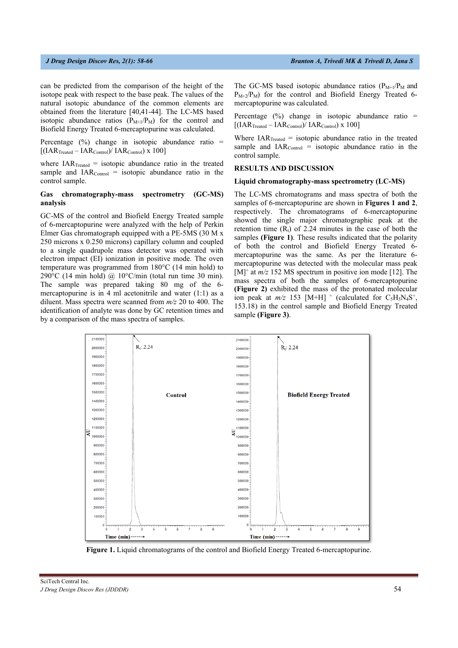can be predicted from the comparison of the height of the isotope peak with respect to the base peak. The values of the natural isotopic abundance of the common elements are obtained from the literature [40,41-44]. The LC-MS based isotopic abundance ratios  $(P_{M+1}/P_M)$  for the control and Biofield Energy Treated 6-mercaptopurine was calculated.

Percentage  $(\%)$  change in isotopic abundance ratio =  $[(IAR<sub>Treated</sub> - IAR<sub>Control</sub>) / IAR<sub>Control</sub>) x 100]$ 

where  $IAR_{\text{Treated}} =$  isotopic abundance ratio in the treated sample and  $IAR_{Control}$  = isotopic abundance ratio in the control sample.

## **Gas chromatography-mass spectrometry (GC-MS) analysis**

GC-MS of the control and Biofield Energy Treated sample of 6-mercaptopurine were analyzed with the help of Perkin Elmer Gas chromatograph equipped with a PE-5MS (30 M x 250 microns x 0.250 microns) capillary column and coupled to a single quadrupole mass detector was operated with electron impact (EI) ionization in positive mode. The oven temperature was programmed from 180°C (14 min hold) to 290 $\degree$ C (14 min hold) @ 10 $\degree$ C/min (total run time 30 min). The sample was prepared taking 80 mg of the 6 mercaptopurine is in 4 ml acetonitrile and water (1:1) as a diluent. Mass spectra were scanned from *m/z* 20 to 400. The identification of analyte was done by GC retention times and by a comparison of the mass spectra of samples.

The GC-MS based isotopic abundance ratios  $(P_{M+1}/P_M$  and  $P_{M+2}/P_M$ ) for the control and Biofield Energy Treated 6mercaptopurine was calculated.

Percentage  $(\%)$  change in isotopic abundance ratio =  $[(IAR<sub>Treated</sub> - IAR<sub>Control</sub>) / IAR<sub>Control</sub>) x 100]$ 

Where  $IAR_{\text{Treated}} =$  isotopic abundance ratio in the treated sample and  $IAR_{Control}$  = isotopic abundance ratio in the control sample.

### **RESULTS AND DISCUSSION**

### **Liquid chromatography-mass spectrometry (LC-MS)**

The LC-MS chromatograms and mass spectra of both the samples of 6-mercaptopurine are shown in **Figures 1 and 2**, respectively. The chromatograms of 6-mercaptopurine showed the single major chromatographic peak at the retention time  $(R<sub>t</sub>)$  of 2.24 minutes in the case of both the samples **(Figure 1)**. These results indicated that the polarity of both the control and Biofield Energy Treated 6 mercaptopurine was the same. As per the literature 6 mercaptopurine was detected with the molecular mass peak [M]<sup>+</sup> at *m/z* 152 MS spectrum in positive ion mode [12]. The mass spectra of both the samples of 6-mercaptopurine **(Figure 2)** exhibited the mass of the protonated molecular ion peak at  $m/z$  153 [M+H]<sup>+</sup> (calculated for C<sub>5</sub>H<sub>5</sub>N<sub>4</sub>S<sup>+</sup>, 153.18) in the control sample and Biofield Energy Treated sample **(Figure 3)**.



**Figure 1.** Liquid chromatograms of the control and Biofield Energy Treated 6-mercaptopurine.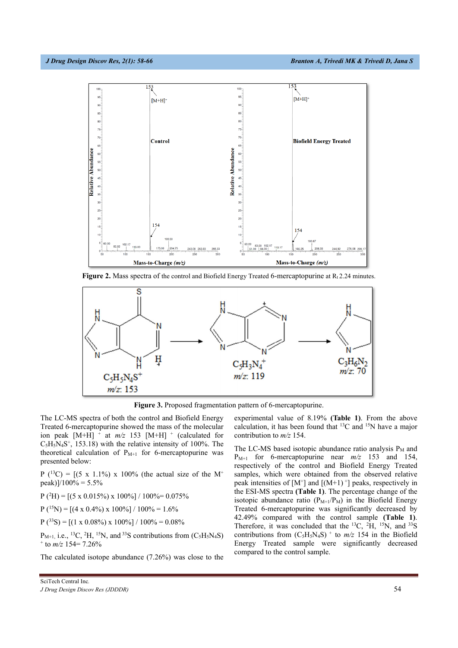

**Figure 2.** Mass spectra of the control and Biofield Energy Treated 6-mercaptopurine at  $R_1$  2.24 minutes.



**Figure 3.** Proposed fragmentation pattern of 6-mercaptopurine.

The LC-MS spectra of both the control and Biofield Energy Treated 6-mercaptopurine showed the mass of the molecular ion peak  $[M+H]$ <sup>+</sup> at  $m/z$  153  $[M+H]$ <sup>+</sup> (calculated for  $C_5H_5N_4S^+$ , 153.18) with the relative intensity of 100%. The theoretical calculation of  $P_{M+1}$  for 6-mercaptopurine was presented below:

 $P({}^{13}C) = [(5 \times 1.1\%) \times 100\%$  (the actual size of the M<sup>+</sup> peak)]/100% =  $5.5\%$ 

 $P(^{2}H) = [(5 \times 0.015\%) \times 100\%] / 100\% = 0.075\%$ 

 $P(^{15}N) = [(4 \times 0.4\%) \times 100\%] / 100\% = 1.6\%$ 

 $P(^{33}S) = [(1 \times 0.08\%) \times 100\%]/100\% = 0.08\%$ 

 $P_{M+1, i.e.,}$  13C, <sup>2</sup>H, <sup>15</sup>N, and <sup>33</sup>S contributions from (C<sub>5</sub>H<sub>5</sub>N<sub>4</sub>S)  $+$  to *m/z* 154= 7.26%

The calculated isotope abundance (7.26%) was close to the

experimental value of 8.19% **(Table 1)**. From the above calculation, it has been found that 13C and 15N have a major contribution to *m/z* 154.

The LC-MS based isotopic abundance ratio analysis  $P_M$  and P<sub>M+1</sub> for 6-mercaptopurine near  $m/z$  153 and 154, respectively of the control and Biofield Energy Treated samples, which were obtained from the observed relative peak intensities of  $[M^+]$  and  $[(M+1)^+]$  peaks, respectively in the ESI-MS spectra **(Table 1)**. The percentage change of the isotopic abundance ratio  $(P_{M+1}/P_M)$  in the Biofield Energy Treated 6-mercaptopurine was significantly decreased by 42.49% compared with the control sample **(Table 1)**. Therefore, it was concluded that the <sup>13</sup>C, <sup>2</sup>H, <sup>15</sup>N, and <sup>33</sup>S contributions from  $(C_5H_5N_4S)$  <sup>+</sup> to  $m/z$  154 in the Biofield Energy Treated sample were significantly decreased compared to the control sample.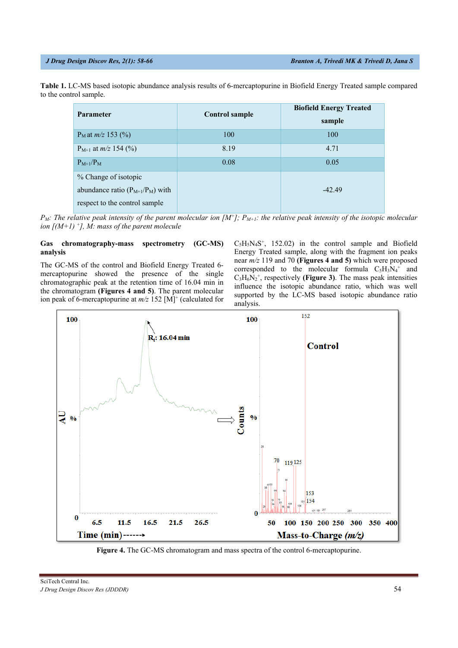**Table 1.** LC-MS based isotopic abundance analysis results of 6-mercaptopurine in Biofield Energy Treated sample compared to the control sample.

| <b>Parameter</b>                     | Control sample | <b>Biofield Energy Treated</b><br>sample |
|--------------------------------------|----------------|------------------------------------------|
| $P_M$ at <i>m/z</i> 153 (%)          | 100            | 100                                      |
| $P_{M+1}$ at $m/z$ 154 (%)           | 8.19           | 4.71                                     |
| $P_{M+1}/P_M$                        | 0.08           | 0.05                                     |
| % Change of isotopic                 |                |                                          |
| abundance ratio $(P_{M+1}/P_M)$ with |                | $-42.49$                                 |
| respect to the control sample        |                |                                          |

 $P_M$ : The relative peak intensity of the parent molecular ion  $[M^+]$ ;  $P_{M+1}$ : the relative peak intensity of the isotopic molecular *ion [(M+1) +], M: mass of the parent molecule* 

## **Gas chromatography-mass spectrometry (GC-MS) analysis**

The GC-MS of the control and Biofield Energy Treated 6 mercaptopurine showed the presence of the single chromatographic peak at the retention time of 16.04 min in the chromatogram **(Figures 4 and 5)**. The parent molecular ion peak of 6-mercaptopurine at  $m/z$  152 [M]<sup>+</sup> (calculated for  $C_5H_5N_4S^+$ , 152.02) in the control sample and Biofield Energy Treated sample, along with the fragment ion peaks near *m/z* 119 and 70 **(Figures 4 and 5)** which were proposed corresponded to the molecular formula  $C_5H_3N_4^+$  and  $C_3H_6N_2^+$ , respectively (Figure 3). The mass peak intensities influence the isotopic abundance ratio, which was well supported by the LC-MS based isotopic abundance ratio analysis.



**Figure 4.** The GC-MS chromatogram and mass spectra of the control 6-mercaptopurine.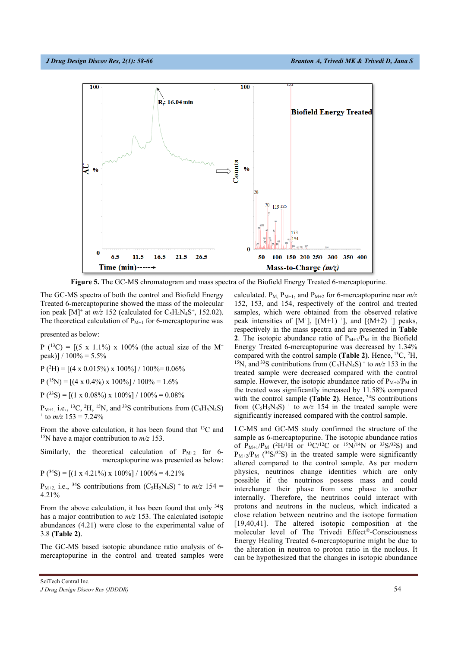

**Figure 5.** The GC-MS chromatogram and mass spectra of the Biofield Energy Treated 6-mercaptopurine.

The GC-MS spectra of both the control and Biofield Energy Treated 6-mercaptopurine showed the mass of the molecular ion peak  $[M]^+$  at  $m/z$  152 (calculated for C<sub>5</sub>H<sub>4</sub>N<sub>4</sub>S<sup>+</sup>, 152.02). The theoretical calculation of  $P_{M+1}$  for 6-mercaptopurine was

presented as below:

 $P({}^{13}C) = [(5 \times 1.1\%) \times 100\%$  (the actual size of the M<sup>+</sup> peak)]  $/ 100\% = 5.5\%$ 

 $P(^{2}H) = [(4 \times 0.015\%) \times 100\%] / 100\% = 0.06\%$ 

 $P(^{15}N) = [(4 \times 0.4\%) \times 100\%]/100\% = 1.6\%$ 

 $P(^{33}S) = [(1 \times 0.08\%) \times 100\%]/100\% = 0.08\%$ 

 $P_{M+1, i.e.,}$  13C, <sup>2</sup>H, <sup>15</sup>N, and <sup>33</sup>S contributions from (C<sub>5</sub>H<sub>5</sub>N<sub>4</sub>S)  $+$  to  $m/z$  153 = 7.24%

From the above calculation, it has been found that 13C and 15N have a major contribution to *m/z* 153.

Similarly, the theoretical calculation of  $P_{M+2}$  for 6mercaptopurine was presented as below:

 $P(^{34}S) = [(1 \times 4.21\%) \times 100\%]/100\% = 4.21\%$ 

 $P_{M+2}$  i.e., <sup>34</sup>S contributions from  $(C_5H_5N_4S)$  + to  $m/z$  154 = 4.21%

From the above calculation, it has been found that only 34S has a major contribution to *m/z* 153. The calculated isotopic abundances (4.21) were close to the experimental value of 3.8 **(Table 2)**.

The GC-MS based isotopic abundance ratio analysis of 6 mercaptopurine in the control and treated samples were

SciTech Central Inc*. J Drug Design Discov Res (JDDDR)* **63** 

calculated.  $P_{M}$ ,  $P_{M+1}$ , and  $P_{M+2}$  for 6-mercaptopurine near  $m/z$ 152, 153, and 154, respectively of the control and treated samples, which were obtained from the observed relative peak intensities of  $[M^{\dagger}]$ ,  $[(M+1)^{\dagger}]$ , and  $[(M+2)^{\dagger}]$  peaks, respectively in the mass spectra and are presented in **Table 2**. The isotopic abundance ratio of  $P_{M+1}/P_M$  in the Biofield Energy Treated 6-mercaptopurine was decreased by 1.34% compared with the control sample **(Table 2)**. Hence, 13C, 2 H, <sup>15</sup>N, and <sup>33</sup>S contributions from  $(C_5H_5N_4S)^+$  to  $m/z$  153 in the treated sample were decreased compared with the control sample. However, the isotopic abundance ratio of  $P_{M+2}/P_M$  in the treated was significantly increased by 11.58% compared with the control sample (Table 2). Hence, <sup>34</sup>S contributions from  $(C_5H_5N_4S)$  <sup>+</sup> to  $m/z$  154 in the treated sample were significantly increased compared with the control sample.

LC-MS and GC-MS study confirmed the structure of the sample as 6-mercaptopurine. The isotopic abundance ratios of  $P_{M+1}/P_M$  (<sup>2</sup>H/<sup>1</sup>H or <sup>13</sup>C/<sup>12</sup>C or <sup>15</sup>N/<sup>14</sup>N or <sup>33</sup>S/<sup>32</sup>S) and  $P_{M+2}/P_M$  (<sup>34</sup>S/<sup>32</sup>S) in the treated sample were significantly altered compared to the control sample. As per modern physics, neutrinos change identities which are only possible if the neutrinos possess mass and could interchange their phase from one phase to another internally. Therefore, the neutrinos could interact with protons and neutrons in the nucleus, which indicated a close relation between neutrino and the isotope formation [19,40,41]. The altered isotopic composition at the molecular level of The Trivedi Effect®-Consciousness Energy Healing Treated 6-mercaptopurine might be due to the alteration in neutron to proton ratio in the nucleus. It can be hypothesized that the changes in isotopic abundance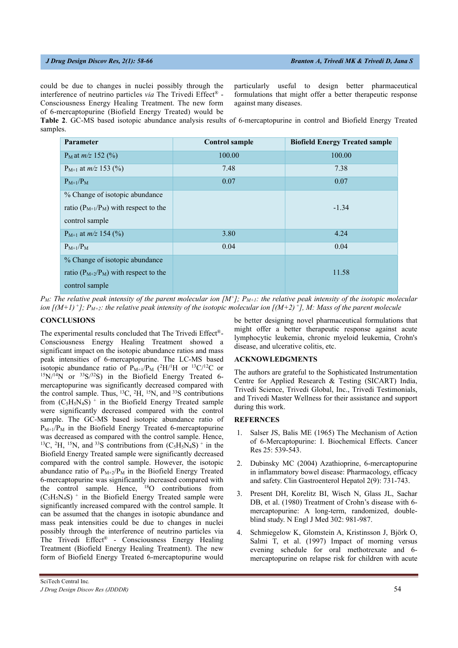could be due to changes in nuclei possibly through the interference of neutrino particles *via* The Trivedi Effect® - Consciousness Energy Healing Treatment. The new form of 6-mercaptopurine (Biofield Energy Treated) would be particularly useful to design better pharmaceutical formulations that might offer a better therapeutic response against many diseases.

**Table 2**. GC-MS based isotopic abundance analysis results of 6-mercaptopurine in control and Biofield Energy Treated samples.

| <b>Parameter</b>                            | <b>Control sample</b> | <b>Biofield Energy Treated sample</b> |
|---------------------------------------------|-----------------------|---------------------------------------|
| $P_M$ at <i>m/z</i> 152 (%)                 | 100.00                | 100.00                                |
| $P_{M+1}$ at $m/z$ 153 (%)                  | 7.48                  | 7.38                                  |
| $P_{M+1}/P_M$                               | 0.07                  | 0.07                                  |
| % Change of isotopic abundance              |                       |                                       |
| ratio $(P_{M+1}/P_M)$ with respect to the   |                       | $-1.34$                               |
| control sample                              |                       |                                       |
| $P_{M+1}$ at $m/z$ 154 (%)                  | 3.80                  | 4.24                                  |
| $P_{M+1}/P_M$                               | 0.04                  | 0.04                                  |
| % Change of isotopic abundance              |                       |                                       |
| ratio ( $P_{M+2}/P_M$ ) with respect to the |                       | 11.58                                 |
| control sample                              |                       |                                       |

 $P_M$ : The relative peak intensity of the parent molecular ion  $[M^+]$ ;  $P_{M+1}$ : the relative peak intensity of the isotopic molecular *ion [(M+1)<sup>+</sup>]; P<sub>M+2</sub>: the relative peak intensity of the isotopic molecular ion [(M+2)<sup>+</sup>], M: Mass of the parent molecule* 

## **CONCLUSIONS**

The experimental results concluded that The Trivedi Effect®- Consciousness Energy Healing Treatment showed a significant impact on the isotopic abundance ratios and mass peak intensities of 6-mercaptopurine. The LC-MS based isotopic abundance ratio of  $P_{M+1}/P_M$  (<sup>2</sup>H/<sup>1</sup>  $^{15}N/14N$  or  $^{33}S/32S$ ) in the Biofield Energy Treated 6mercaptopurine was significantly decreased compared with the control sample. Thus, <sup>13</sup>C, <sup>2</sup>H, <sup>15</sup>N, and <sup>33</sup>S contributions from  $(C_5H_5N_4S)$  <sup>+</sup> in the Biofield Energy Treated sample were significantly decreased compared with the control sample. The GC-MS based isotopic abundance ratio of  $P_{M+1}/P_M$  in the Biofield Energy Treated 6-mercaptopurine was decreased as compared with the control sample. Hence, <sup>13</sup>C, <sup>2</sup>H, <sup>15</sup>N, and <sup>33</sup>S contributions from  $(C_5H_5N_4S)$ <sup>+</sup> in the Biofield Energy Treated sample were significantly decreased compared with the control sample. However, the isotopic abundance ratio of  $P_{M+2}/P_M$  in the Biofield Energy Treated 6-mercaptopurine was significantly increased compared with the control sample. Hence, <sup>18</sup>O contributions from  $(C_5H_5N_4S)$ <sup>+</sup> in the Biofield Energy Treated sample were significantly increased compared with the control sample. It can be assumed that the changes in isotopic abundance and mass peak intensities could be due to changes in nuclei possibly through the interference of neutrino particles via The Trivedi Effect® - Consciousness Energy Healing Treatment (Biofield Energy Healing Treatment). The new form of Biofield Energy Treated 6-mercaptopurine would

be better designing novel pharmaceutical formulations that might offer a better therapeutic response against acute lymphocytic leukemia, chronic myeloid leukemia, Crohn's disease, and ulcerative colitis, etc.

## **ACKNOWLEDGMENTS**

The authors are grateful to the Sophisticated Instrumentation Centre for Applied Research & Testing (SICART) India, Trivedi Science, Trivedi Global, Inc., Trivedi Testimonials, and Trivedi Master Wellness for their assistance and support during this work.

# **REFERNCES**

- Salser JS, Balis ME (1965) The Mechanism of Action of 6-Mercaptopurine: I. Biochemical Effects. Cancer Res 25: 539-543.
- 2. Dubinsky MC (2004) Azathioprine, 6-mercaptopurine in inflammatory bowel disease: Pharmacology, efficacy and safety. Clin Gastroenterol Hepatol 2(9): 731-743.
- 3. Present DH, Korelitz BI, Wisch N, Glass JL, Sachar DB, et al. (1980) Treatment of Crohn's disease with 6 mercaptopurine: A long-term, randomized, doubleblind study. N Engl J Med 302: 981-987.
- 4. Schmiegelow K, Glomstein A, Kristinsson J, Björk O, Salmi T, et al. (1997) Impact of morning versus evening schedule for oral methotrexate and 6 mercaptopurine on relapse risk for children with acute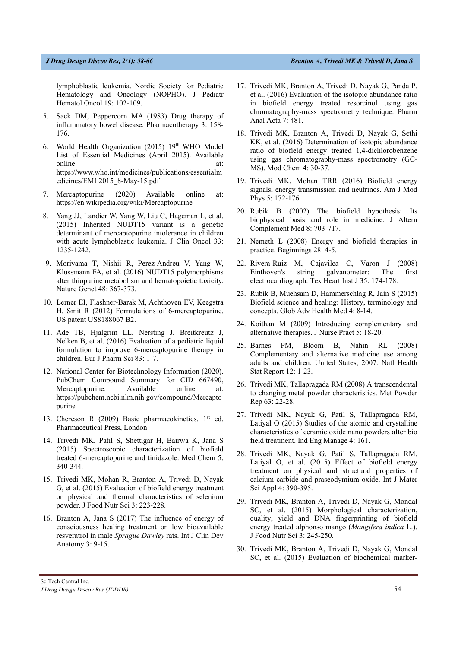lymphoblastic leukemia. Nordic Society for Pediatric Hematology and Oncology (NOPHO). J Pediatr Hematol Oncol 19: 102-109.

- 5. Sack DM, Peppercorn MA (1983) Drug therapy of inflammatory bowel disease. Pharmacotherapy 3: 158- 176.
- 6. World Health Organization (2015) 19th WHO Model List of Essential Medicines (April 2015). Available online at: https://www.who.int/medicines/publications/essentialm edicines/EML2015\_8-May-15.pdf
- 7. Mercaptopurine (2020) Available online at: https://en.wikipedia.org/wiki/Mercaptopurine
- 8. Yang JJ, Landier W, Yang W, Liu C, Hageman L, et al. (2015) Inherited NUDT15 variant is a genetic determinant of mercaptopurine intolerance in children with acute lymphoblastic leukemia. J Clin Oncol 33: 1235-1242.
- 9. Moriyama T, Nishii R, Perez-Andreu V, Yang W, Klussmann FA, et al. (2016) NUDT15 polymorphisms alter thiopurine metabolism and hematopoietic toxicity. Nature Genet 48: 367-373.
- 10. Lerner EI, Flashner-Barak M, Achthoven EV, Keegstra H, Smit R (2012) Formulations of 6-mercaptopurine. US patent US8188067 B2.
- 11. Ade TB, Hjalgrim LL, Nersting J, Breitkreutz J, Nelken B, et al. (2016) Evaluation of a pediatric liquid formulation to improve 6-mercaptopurine therapy in children. Eur J Pharm Sci 83: 1-7.
- 12. National Center for Biotechnology Information (2020). PubChem Compound Summary for CID 667490, Mercaptopurine. Available online at: https://pubchem.ncbi.nlm.nih.gov/compound/Mercapto purine
- 13. Chereson R (2009) Basic pharmacokinetics. 1<sup>st</sup> ed. Pharmaceutical Press, London.
- 14. Trivedi MK, Patil S, Shettigar H, Bairwa K, Jana S (2015) Spectroscopic characterization of biofield treated 6-mercaptopurine and tinidazole. Med Chem 5: 340-344.
- 15. Trivedi MK, Mohan R, Branton A, Trivedi D, Nayak G, et al. (2015) Evaluation of biofield energy treatment on physical and thermal characteristics of selenium powder. J Food Nutr Sci 3: 223-228.
- 16. Branton A, Jana S (2017) The influence of energy of consciousness healing treatment on low bioavailable resveratrol in male *Sprague Dawley* rats. Int J Clin Dev Anatomy 3: 9-15.
- 17. Trivedi MK, Branton A, Trivedi D, Nayak G, Panda P, et al. (2016) Evaluation of the isotopic abundance ratio in biofield energy treated resorcinol using gas chromatography-mass spectrometry technique. Pharm Anal Acta 7: 481.
- 18. Trivedi MK, Branton A, Trivedi D, Nayak G, Sethi KK, et al. (2016) Determination of isotopic abundance ratio of biofield energy treated 1,4-dichlorobenzene using gas chromatography-mass spectrometry (GC-MS). Mod Chem 4: 30-37.
- 19. Trivedi MK, Mohan TRR (2016) Biofield energy signals, energy transmission and neutrinos. Am J Mod Phys 5: 172-176.
- 20. Rubik B (2002) The biofield hypothesis: Its biophysical basis and role in medicine. J Altern Complement Med 8: 703-717.
- 21. Nemeth L (2008) Energy and biofield therapies in practice. Beginnings 28: 4-5.
- 22. Rivera-Ruiz M, Cajavilca C, Varon J (2008) Einthoven's string galvanometer: The first electrocardiograph. Tex Heart Inst J 35: 174-178.
- 23. Rubik B, Muehsam D, Hammerschlag R, Jain S (2015) Biofield science and healing: History, terminology and concepts. Glob Adv Health Med 4: 8-14.
- 24. Koithan M (2009) Introducing complementary and alternative therapies. J Nurse Pract 5: 18-20.
- 25. Barnes PM, Bloom B, Nahin RL (2008) Complementary and alternative medicine use among adults and children: United States, 2007. Natl Health Stat Report 12: 1-23.
- 26. Trivedi MK, Tallapragada RM (2008) A transcendental to changing metal powder characteristics. Met Powder Rep 63: 22-28.
- 27. Trivedi MK, Nayak G, Patil S, Tallapragada RM, Latiyal O (2015) Studies of the atomic and crystalline characteristics of ceramic oxide nano powders after bio field treatment. Ind Eng Manage 4: 161.
- 28. Trivedi MK, Nayak G, Patil S, Tallapragada RM, Latiyal O, et al. (2015) Effect of biofield energy treatment on physical and structural properties of calcium carbide and praseodymium oxide. Int J Mater Sci Appl 4: 390-395.
- 29. Trivedi MK, Branton A, Trivedi D, Nayak G, Mondal SC, et al. (2015) Morphological characterization, quality, yield and DNA fingerprinting of biofield energy treated alphonso mango (*Mangifera indica* L.). J Food Nutr Sci 3: 245-250.
- 30. Trivedi MK, Branton A, Trivedi D, Nayak G, Mondal SC, et al. (2015) Evaluation of biochemical marker-

SciTech Central Inc*. J Drug Design Discov Res (JDDDR) 65*